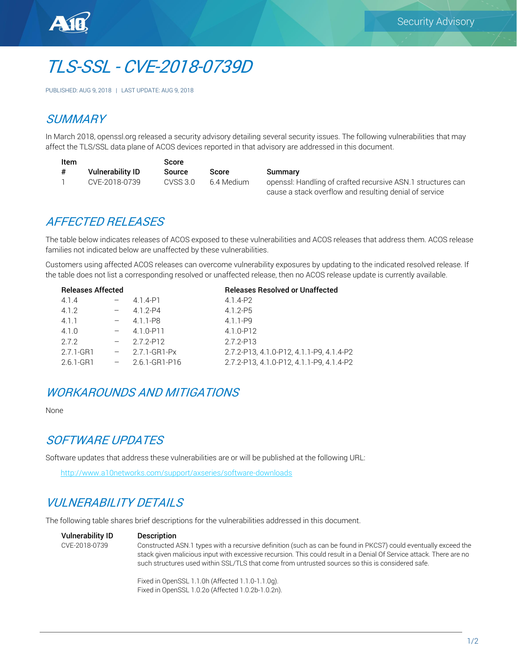

# TLS-SSL - CVE-2018-0739D

PUBLISHED: AUG 9, 2018 | LAST UPDATE: AUG 9, 2018

#### **SUMMARY**

In March 2018, openssl.org released a security advisory detailing several security issues. The following vulnerabilities that may affect the TLS/SSL data plane of ACOS devices reported in that advisory are addressed in this document.

| Item |                  | Score     |             |                                                             |
|------|------------------|-----------|-------------|-------------------------------------------------------------|
|      | Vulnerability ID | Source    | Score       | Summary                                                     |
|      | CVE-2018-0739    | CVSS 3.0- | -6.4 Medium | openssl: Handling of crafted recursive ASN.1 structures can |
|      |                  |           |             | cause a stack overflow and resulting denial of service      |

#### AFFECTED RELEASES

The table below indicates releases of ACOS exposed to these vulnerabilities and ACOS releases that address them. ACOS release families not indicated below are unaffected by these vulnerabilities.

Customers using affected ACOS releases can overcome vulnerability exposures by updating to the indicated resolved release. If the table does not list a corresponding resolved or unaffected release, then no ACOS release update is currently available.

| <b>Releases Affected</b> |                      | <b>Releases Resolved or Unaffected</b>   |
|--------------------------|----------------------|------------------------------------------|
| 4.1.4                    | 4.1.4-P1             | 4.1.4-P2                                 |
| 4.1.2                    | $4.1.2 - P4$         | $4.1.2 - P5$                             |
| 4.1.1                    | 4.1.1-P8             | $4.1.1 - P9$                             |
| 4.1.0                    | 4.1.0-P11            | 4.1.0-P12                                |
| 2.7.2                    | 272-P12              | 2.7.2-P13                                |
| 2.7.1-GR1                | 2.7.1-GR1-Px         | 2.7.2-P13, 4.1.0-P12, 4.1.1-P9, 4.1.4-P2 |
| 2.6.1-GR1                | $-2.6.1 - GR1 - P16$ | 2.7.2-P13.4.1.0-P12.4.1.1-P9.4.1.4-P2    |
|                          |                      |                                          |

#### WORKAROUNDS AND MITIGATIONS

None

#### SOFTWARE UPDATES

Software updates that address these vulnerabilities are or will be published at the following URL:

<http://www.a10networks.com/support/axseries/software-downloads>

# VUI NFRABILITY DETAILS

The following table shares brief descriptions for the vulnerabilities addressed in this document.

Vulnerability ID Description CVE-2018-0739 Constructed ASN.1 types with a recursive definition (such as can be found in PKCS7) could eventually exceed the stack given malicious input with excessive recursion. This could result in a Denial Of Service attack. There are no such structures used within SSL/TLS that come from untrusted sources so this is considered safe.

> Fixed in OpenSSL 1.1.0h (Affected 1.1.0-1.1.0g). Fixed in OpenSSL 1.0.2o (Affected 1.0.2b-1.0.2n).